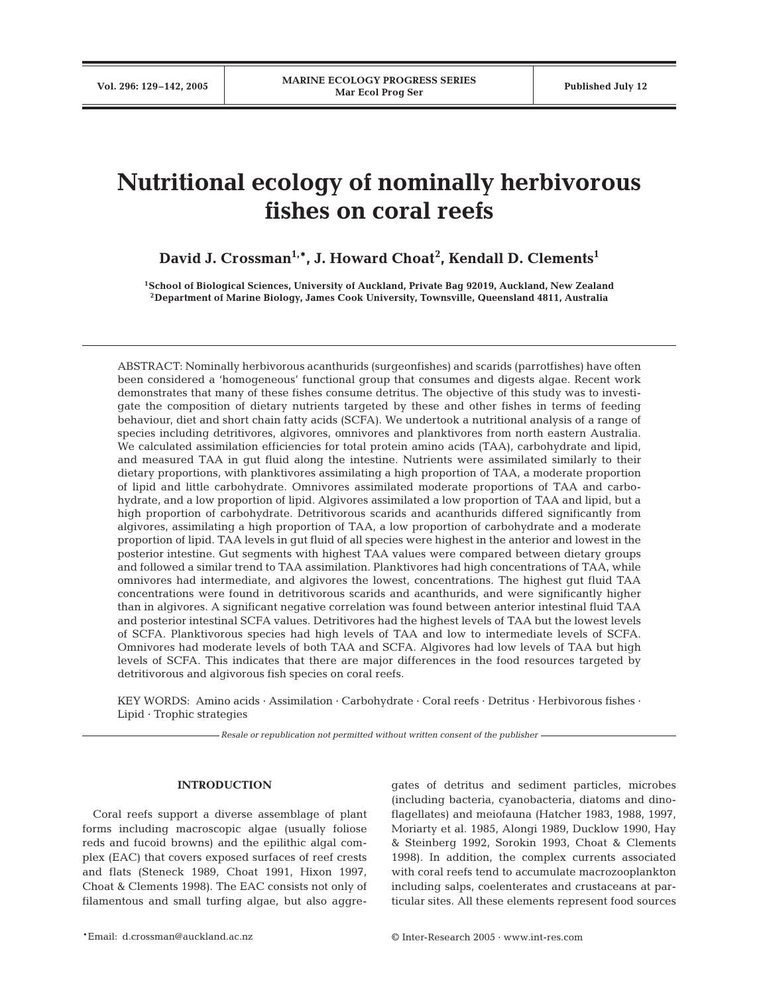# **Nutritional ecology of nominally herbivorous fishes on coral reefs**

David J. Crossman<sup>1,</sup>\*, J. Howard Choat<sup>2</sup>, Kendall D. Clements<sup>1</sup>

**1School of Biological Sciences, University of Auckland, Private Bag 92019, Auckland, New Zealand 2Department of Marine Biology, James Cook University, Townsville, Queensland 4811, Australia**

ABSTRACT: Nominally herbivorous acanthurids (surgeonfishes) and scarids (parrotfishes) have often been considered a 'homogeneous' functional group that consumes and digests algae. Recent work demonstrates that many of these fishes consume detritus. The objective of this study was to investigate the composition of dietary nutrients targeted by these and other fishes in terms of feeding behaviour, diet and short chain fatty acids (SCFA). We undertook a nutritional analysis of a range of species including detritivores, algivores, omnivores and planktivores from north eastern Australia. We calculated assimilation efficiencies for total protein amino acids (TAA), carbohydrate and lipid, and measured TAA in gut fluid along the intestine. Nutrients were assimilated similarly to their dietary proportions, with planktivores assimilating a high proportion of TAA, a moderate proportion of lipid and little carbohydrate. Omnivores assimilated moderate proportions of TAA and carbohydrate, and a low proportion of lipid. Algivores assimilated a low proportion of TAA and lipid, but a high proportion of carbohydrate. Detritivorous scarids and acanthurids differed significantly from algivores, assimilating a high proportion of TAA, a low proportion of carbohydrate and a moderate proportion of lipid. TAA levels in gut fluid of all species were highest in the anterior and lowest in the posterior intestine. Gut segments with highest TAA values were compared between dietary groups and followed a similar trend to TAA assimilation. Planktivores had high concentrations of TAA, while omnivores had intermediate, and algivores the lowest, concentrations. The highest gut fluid TAA concentrations were found in detritivorous scarids and acanthurids, and were significantly higher than in algivores. A significant negative correlation was found between anterior intestinal fluid TAA and posterior intestinal SCFA values. Detritivores had the highest levels of TAA but the lowest levels of SCFA. Planktivorous species had high levels of TAA and low to intermediate levels of SCFA. Omnivores had moderate levels of both TAA and SCFA. Algivores had low levels of TAA but high levels of SCFA. This indicates that there are major differences in the food resources targeted by detritivorous and algivorous fish species on coral reefs.

KEY WORDS: Amino acids · Assimilation · Carbohydrate · Coral reefs · Detritus · Herbivorous fishes · Lipid · Trophic strategies

*Resale or republication not permitted without written consent of the publisher*

## **INTRODUCTION**

Coral reefs support a diverse assemblage of plant forms including macroscopic algae (usually foliose reds and fucoid browns) and the epilithic algal complex (EAC) that covers exposed surfaces of reef crests and flats (Steneck 1989, Choat 1991, Hixon 1997, Choat & Clements 1998). The EAC consists not only of filamentous and small turfing algae, but also aggregates of detritus and sediment particles, microbes (including bacteria, cyanobacteria, diatoms and dinoflagellates) and meiofauna (Hatcher 1983, 1988, 1997, Moriarty et al. 1985, Alongi 1989, Ducklow 1990, Hay & Steinberg 1992, Sorokin 1993, Choat & Clements 1998). In addition, the complex currents associated with coral reefs tend to accumulate macrozooplankton including salps, coelenterates and crustaceans at particular sites. All these elements represent food sources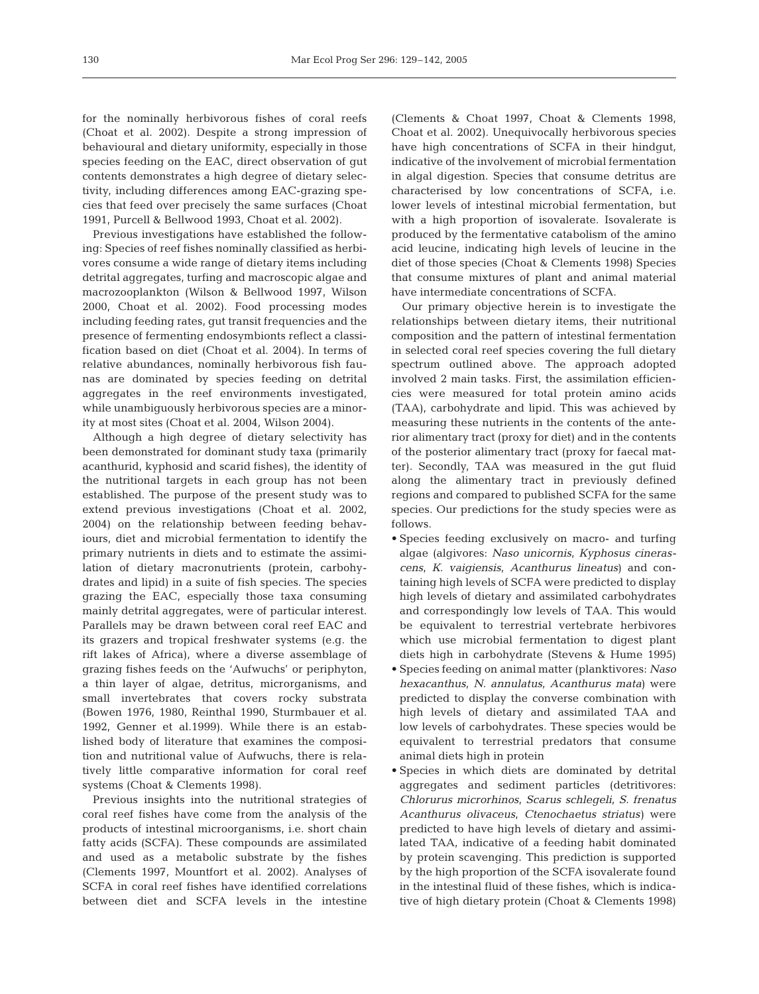for the nominally herbivorous fishes of coral reefs (Choat et al. 2002). Despite a strong impression of behavioural and dietary uniformity, especially in those species feeding on the EAC, direct observation of gut contents demonstrates a high degree of dietary selectivity, including differences among EAC-grazing species that feed over precisely the same surfaces (Choat 1991, Purcell & Bellwood 1993, Choat et al. 2002).

Previous investigations have established the following: Species of reef fishes nominally classified as herbivores consume a wide range of dietary items including detrital aggregates, turfing and macroscopic algae and macrozooplankton (Wilson & Bellwood 1997, Wilson 2000, Choat et al. 2002). Food processing modes including feeding rates, gut transit frequencies and the presence of fermenting endosymbionts reflect a classification based on diet (Choat et al. 2004). In terms of relative abundances, nominally herbivorous fish faunas are dominated by species feeding on detrital aggregates in the reef environments investigated, while unambiguously herbivorous species are a minority at most sites (Choat et al. 2004, Wilson 2004).

Although a high degree of dietary selectivity has been demonstrated for dominant study taxa (primarily acanthurid, kyphosid and scarid fishes), the identity of the nutritional targets in each group has not been established. The purpose of the present study was to extend previous investigations (Choat et al. 2002, 2004) on the relationship between feeding behaviours, diet and microbial fermentation to identify the primary nutrients in diets and to estimate the assimilation of dietary macronutrients (protein, carbohydrates and lipid) in a suite of fish species. The species grazing the EAC, especially those taxa consuming mainly detrital aggregates, were of particular interest. Parallels may be drawn between coral reef EAC and its grazers and tropical freshwater systems (e.g. the rift lakes of Africa), where a diverse assemblage of grazing fishes feeds on the 'Aufwuchs' or periphyton, a thin layer of algae, detritus, microrganisms, and small invertebrates that covers rocky substrata (Bowen 1976, 1980, Reinthal 1990, Sturmbauer et al. 1992, Genner et al.1999). While there is an established body of literature that examines the composition and nutritional value of Aufwuchs, there is relatively little comparative information for coral reef systems (Choat & Clements 1998).

Previous insights into the nutritional strategies of coral reef fishes have come from the analysis of the products of intestinal microorganisms, i.e. short chain fatty acids (SCFA). These compounds are assimilated and used as a metabolic substrate by the fishes (Clements 1997, Mountfort et al. 2002). Analyses of SCFA in coral reef fishes have identified correlations between diet and SCFA levels in the intestine

(Clements & Choat 1997, Choat & Clements 1998, Choat et al. 2002). Unequivocally herbivorous species have high concentrations of SCFA in their hindgut, indicative of the involvement of microbial fermentation in algal digestion. Species that consume detritus are characterised by low concentrations of SCFA, i.e. lower levels of intestinal microbial fermentation, but with a high proportion of isovalerate. Isovalerate is produced by the fermentative catabolism of the amino acid leucine, indicating high levels of leucine in the diet of those species (Choat & Clements 1998) Species that consume mixtures of plant and animal material have intermediate concentrations of SCFA.

Our primary objective herein is to investigate the relationships between dietary items, their nutritional composition and the pattern of intestinal fermentation in selected coral reef species covering the full dietary spectrum outlined above. The approach adopted involved 2 main tasks. First, the assimilation efficiencies were measured for total protein amino acids (TAA), carbohydrate and lipid. This was achieved by measuring these nutrients in the contents of the anterior alimentary tract (proxy for diet) and in the contents of the posterior alimentary tract (proxy for faecal matter). Secondly, TAA was measured in the gut fluid along the alimentary tract in previously defined regions and compared to published SCFA for the same species. Our predictions for the study species were as follows.

- Species feeding exclusively on macro- and turfing algae (algivores: *Naso unicornis, Kyphosus cinerascens, K. vaigiensis, Acanthurus lineatus*) and containing high levels of SCFA were predicted to display high levels of dietary and assimilated carbohydrates and correspondingly low levels of TAA. This would be equivalent to terrestrial vertebrate herbivores which use microbial fermentation to digest plant diets high in carbohydrate (Stevens & Hume 1995)
- Species feeding on animal matter (planktivores: *Naso hexacanthus, N. annulatus, Acanthurus mata*) were predicted to display the converse combination with high levels of dietary and assimilated TAA and low levels of carbohydrates. These species would be equivalent to terrestrial predators that consume animal diets high in protein
- Species in which diets are dominated by detrital aggregates and sediment particles (detritivores: *Chlorurus microrhinos, Scarus schlegeli, S. frenatus Acanthurus olivaceus, Ctenochaetus striatus)* were predicted to have high levels of dietary and assimilated TAA, indicative of a feeding habit dominated by protein scavenging. This prediction is supported by the high proportion of the SCFA isovalerate found in the intestinal fluid of these fishes, which is indicative of high dietary protein (Choat & Clements 1998)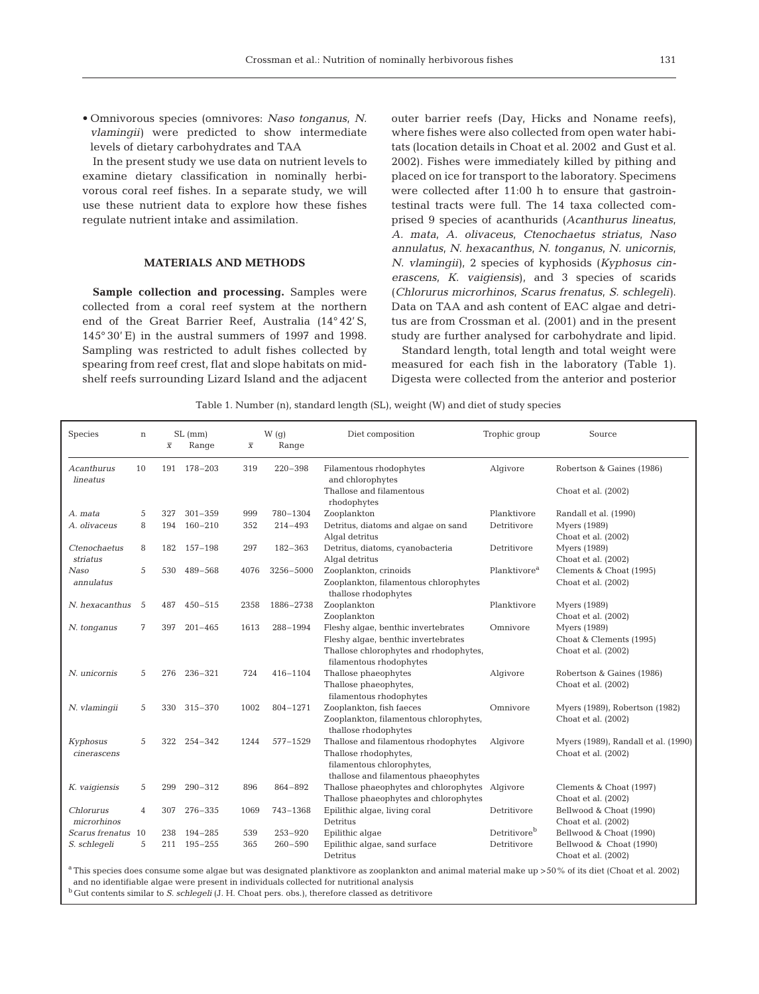• Omnivorous species (omnivores: *Naso tonganus, N. vlamingii)* were predicted to show intermediate levels of dietary carbohydrates and TAA

In the present study we use data on nutrient levels to examine dietary classification in nominally herbivorous coral reef fishes. In a separate study, we will use these nutrient data to explore how these fishes regulate nutrient intake and assimilation.

## **MATERIALS AND METHODS**

**Sample collection and processing.** Samples were collected from a coral reef system at the northern end of the Great Barrier Reef, Australia (14° 42' S, 145° 30' E) in the austral summers of 1997 and 1998. Sampling was restricted to adult fishes collected by spearing from reef crest, flat and slope habitats on midshelf reefs surrounding Lizard Island and the adjacent

outer barrier reefs (Day, Hicks and Noname reefs), where fishes were also collected from open water habitats (location details in Choat et al. 2002 and Gust et al. 2002). Fishes were immediately killed by pithing and placed on ice for transport to the laboratory. Specimens were collected after 11:00 h to ensure that gastrointestinal tracts were full. The 14 taxa collected comprised 9 species of acanthurids (*Acanthurus lineatus*, *A. mata*, *A. olivaceus*, *Ctenochaetus striatus, Naso annulatus*, *N. hexacanthus*, *N. tonganus*, *N. unicornis*, *N. vlamingii)*, 2 species of kyphosids (*Kyphosus cinerascens*, *K. vaigiensis*), and 3 species of scarids (*Chlorurus microrhinos*, *Scarus frenatus*, *S. schlegeli)*. Data on TAA and ash content of EAC algae and detritus are from Crossman et al. (2001) and in the present study are further analysed for carbohydrate and lipid.

Standard length, total length and total weight were measured for each fish in the laboratory (Table 1). Digesta were collected from the anterior and posterior

Table 1. Number (n), standard length (SL), weight (W) and diet of study species

| Species                  | W(g)<br>SL (mm)<br>$\mathbf n$<br>$\overline{X}$<br>Range<br>$\overline{X}$                                                                                      |     | Range       | Diet composition | Trophic group | Source                                                                                                                                          |                          |                                                                       |  |  |  |
|--------------------------|------------------------------------------------------------------------------------------------------------------------------------------------------------------|-----|-------------|------------------|---------------|-------------------------------------------------------------------------------------------------------------------------------------------------|--------------------------|-----------------------------------------------------------------------|--|--|--|
| Acanthurus<br>lineatus   | 10                                                                                                                                                               |     | 191 178-203 | 319              | $220 - 398$   | Filamentous rhodophytes<br>and chlorophytes                                                                                                     | Algivore                 | Robertson & Gaines (1986)                                             |  |  |  |
|                          |                                                                                                                                                                  |     |             |                  |               | Thallose and filamentous<br>rhodophytes                                                                                                         |                          | Choat et al. (2002)                                                   |  |  |  |
| A. mata                  | 5                                                                                                                                                                | 327 | $301 - 359$ | 999              | 780-1304      | Zooplankton                                                                                                                                     | Planktivore              | Randall et al. (1990)                                                 |  |  |  |
| A. olivaceus             | 8                                                                                                                                                                | 194 | $160 - 210$ | 352              | $214 - 493$   | Detritus, diatoms and algae on sand<br>Algal detritus                                                                                           | Detritivore              | <b>Myers</b> (1989)<br>Choat et al. (2002)                            |  |  |  |
| Ctenochaetus<br>striatus | 8                                                                                                                                                                | 182 | 157-198     | 297              | 182-363       | Detritus, diatoms, cyanobacteria<br>Algal detritus                                                                                              | Detritivore              | <b>Myers</b> (1989)<br>Choat et al. (2002)                            |  |  |  |
| Naso<br>annulatus        | 5                                                                                                                                                                | 530 | 489-568     | 4076             | 3256-5000     | Zooplankton, crinoids<br>Zooplankton, filamentous chlorophytes<br>thallose rhodophytes                                                          | Planktivore <sup>a</sup> | Clements & Choat (1995)<br>Choat et al. (2002)                        |  |  |  |
| N. hexacanthus           | 5                                                                                                                                                                | 487 | $450 - 515$ | 2358             | 1886-2738     | Zooplankton<br>Zooplankton                                                                                                                      | Planktivore              | <b>Myers</b> (1989)<br>Choat et al. (2002)                            |  |  |  |
| N. tonganus              | 7                                                                                                                                                                | 397 | $201 - 465$ | 1613             | 288-1994      | Fleshy algae, benthic invertebrates<br>Fleshy algae, benthic invertebrates<br>Thallose chlorophytes and rhodophytes,<br>filamentous rhodophytes | Omnivore                 | <b>Myers</b> (1989)<br>Choat & Clements (1995)<br>Choat et al. (2002) |  |  |  |
| N. unicornis             | 5                                                                                                                                                                | 276 | $236 - 321$ | 724              | 416-1104      | Thallose phaeophytes<br>Thallose phaeophytes,<br>filamentous rhodophytes                                                                        | Algivore                 | Robertson & Gaines (1986)<br>Choat et al. (2002)                      |  |  |  |
| N. vlamingii             | 5                                                                                                                                                                | 330 | $315 - 370$ | 1002             | 804-1271      | Zooplankton, fish faeces<br>Zooplankton, filamentous chlorophytes,<br>thallose rhodophytes                                                      | Omnivore                 | Myers (1989), Robertson (1982)<br>Choat et al. (2002)                 |  |  |  |
| Kyphosus<br>cinerascens  | 5                                                                                                                                                                | 322 | $254 - 342$ | 1244             | 577-1529      | Thallose and filamentous rhodophytes<br>Thallose rhodophytes,<br>filamentous chlorophytes,<br>thallose and filamentous phaeophytes              | Algivore                 | Myers (1989), Randall et al. (1990)<br>Choat et al. (2002)            |  |  |  |
| K. vaigiensis            | 5                                                                                                                                                                | 299 | $290 - 312$ | 896              | 864-892       | Thallose phaeophytes and chlorophytes<br>Thallose phaeophytes and chlorophytes                                                                  | Algivore                 | Clements & Choat (1997)<br>Choat et al. (2002)                        |  |  |  |
| Chlorurus<br>microrhinos | $\overline{4}$                                                                                                                                                   | 307 | $276 - 335$ | 1069             | 743-1368      | Epilithic algae, living coral<br>Detritus                                                                                                       | Detritivore              | Bellwood & Choat (1990)<br>Choat et al. (2002)                        |  |  |  |
| Scarus frenatus          | 10                                                                                                                                                               | 238 | $194 - 285$ | 539              | $253 - 920$   | Epilithic algae                                                                                                                                 | Detritivore <sup>b</sup> | Bellwood & Choat (1990)                                               |  |  |  |
| S. schlegeli             | 5                                                                                                                                                                | 211 | $195 - 255$ | 365              | $260 - 590$   | Epilithic algae, sand surface<br>Detritus                                                                                                       | Detritivore              | Bellwood & Choat (1990)<br>Choat et al. (2002)                        |  |  |  |
|                          | <sup>a</sup> This species does consume some algae but was designated planktivore as zooplankton and animal material make up >50% of its diet (Choat et al. 2002) |     |             |                  |               |                                                                                                                                                 |                          |                                                                       |  |  |  |

 $^{\rm a}$  This species does consume some algae but was designated planktivore as zooplankton and animal material make up >50% of its diet (Choat et al. 2002) and no identifiable algae were present in individuals collected for nutritional analysis <sup>b</sup> Gut contents similar to *S. schlegeli* (J. H. Choat pers. obs.), therefore classed as detritivore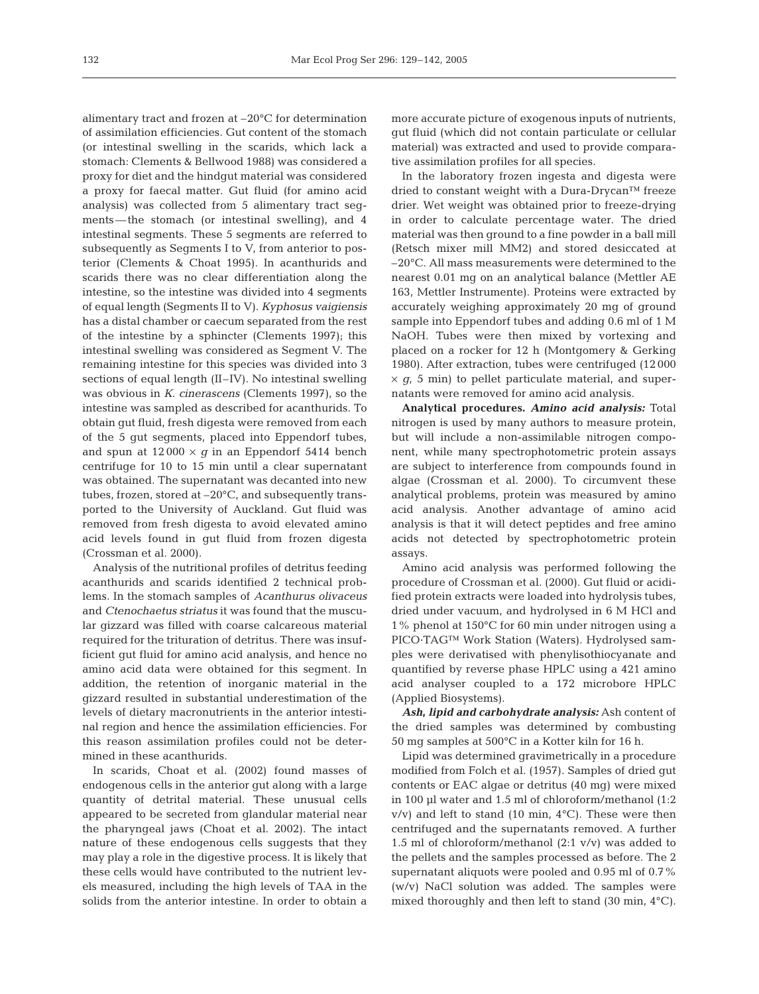alimentary tract and frozen at –20°C for determination of assimilation efficiencies. Gut content of the stomach (or intestinal swelling in the scarids, which lack a stomach: Clements & Bellwood 1988) was considered a proxy for diet and the hindgut material was considered a proxy for faecal matter. Gut fluid (for amino acid analysis) was collected from 5 alimentary tract segments—the stomach (or intestinal swelling), and 4 intestinal segments. These 5 segments are referred to subsequently as Segments I to V, from anterior to posterior (Clements & Choat 1995). In acanthurids and scarids there was no clear differentiation along the intestine, so the intestine was divided into 4 segments of equal length (Segments II to V). *Kyphosus vaigiensis* has a distal chamber or caecum separated from the rest of the intestine by a sphincter (Clements 1997); this intestinal swelling was considered as Segment V. The remaining intestine for this species was divided into 3 sections of equal length (II–IV). No intestinal swelling was obvious in *K. cinerascens* (Clements 1997), so the intestine was sampled as described for acanthurids. To obtain gut fluid, fresh digesta were removed from each of the 5 gut segments, placed into Eppendorf tubes, and spun at  $12000 \times g$  in an Eppendorf 5414 bench centrifuge for 10 to 15 min until a clear supernatant was obtained. The supernatant was decanted into new tubes, frozen, stored at –20°C, and subsequently transported to the University of Auckland. Gut fluid was removed from fresh digesta to avoid elevated amino acid levels found in gut fluid from frozen digesta (Crossman et al. 2000).

Analysis of the nutritional profiles of detritus feeding acanthurids and scarids identified 2 technical problems. In the stomach samples of *Acanthurus olivaceus* and *Ctenochaetus striatus* it was found that the muscular gizzard was filled with coarse calcareous material required for the trituration of detritus. There was insufficient gut fluid for amino acid analysis, and hence no amino acid data were obtained for this segment. In addition, the retention of inorganic material in the gizzard resulted in substantial underestimation of the levels of dietary macronutrients in the anterior intestinal region and hence the assimilation efficiencies. For this reason assimilation profiles could not be determined in these acanthurids.

In scarids, Choat et al. (2002) found masses of endogenous cells in the anterior gut along with a large quantity of detrital material. These unusual cells appeared to be secreted from glandular material near the pharyngeal jaws (Choat et al. 2002). The intact nature of these endogenous cells suggests that they may play a role in the digestive process. It is likely that these cells would have contributed to the nutrient levels measured, including the high levels of TAA in the solids from the anterior intestine. In order to obtain a

more accurate picture of exogenous inputs of nutrients, gut fluid (which did not contain particulate or cellular material) was extracted and used to provide comparative assimilation profiles for all species.

In the laboratory frozen ingesta and digesta were dried to constant weight with a Dura-Drycan™ freeze drier. Wet weight was obtained prior to freeze-drying in order to calculate percentage water. The dried material was then ground to a fine powder in a ball mill (Retsch mixer mill MM2) and stored desiccated at –20°C. All mass measurements were determined to the nearest 0.01 mg on an analytical balance (Mettler AE 163, Mettler Instrumente). Proteins were extracted by accurately weighing approximately 20 mg of ground sample into Eppendorf tubes and adding 0.6 ml of 1 M NaOH. Tubes were then mixed by vortexing and placed on a rocker for 12 h (Montgomery & Gerking 1980). After extraction, tubes were centrifuged (12 000  $\times$  *g*, 5 min) to pellet particulate material, and supernatants were removed for amino acid analysis.

**Analytical procedures.** *Amino acid analysis:* Total nitrogen is used by many authors to measure protein, but will include a non-assimilable nitrogen component, while many spectrophotometric protein assays are subject to interference from compounds found in algae (Crossman et al. 2000). To circumvent these analytical problems, protein was measured by amino acid analysis. Another advantage of amino acid analysis is that it will detect peptides and free amino acids not detected by spectrophotometric protein assays.

Amino acid analysis was performed following the procedure of Crossman et al. (2000). Gut fluid or acidified protein extracts were loaded into hydrolysis tubes, dried under vacuum, and hydrolysed in 6 M HCl and 1% phenol at 150°C for 60 min under nitrogen using a PICO·TAG™ Work Station (Waters). Hydrolysed samples were derivatised with phenylisothiocyanate and quantified by reverse phase HPLC using a 421 amino acid analyser coupled to a 172 microbore HPLC (Applied Biosystems).

*Ash, lipid and carbohydrate analysis:* Ash content of the dried samples was determined by combusting 50 mg samples at 500°C in a Kotter kiln for 16 h.

Lipid was determined gravimetrically in a procedure modified from Folch et al. (1957). Samples of dried gut contents or EAC algae or detritus (40 mg) were mixed in 100 µl water and 1.5 ml of chloroform/methanol (1:2  $v/v$ ) and left to stand (10 min,  $4°C$ ). These were then centrifuged and the supernatants removed. A further 1.5 ml of chloroform/methanol  $(2:1 \text{ v/v})$  was added to the pellets and the samples processed as before. The 2 supernatant aliquots were pooled and 0.95 ml of 0.7% (w/v) NaCl solution was added. The samples were mixed thoroughly and then left to stand (30 min, 4°C).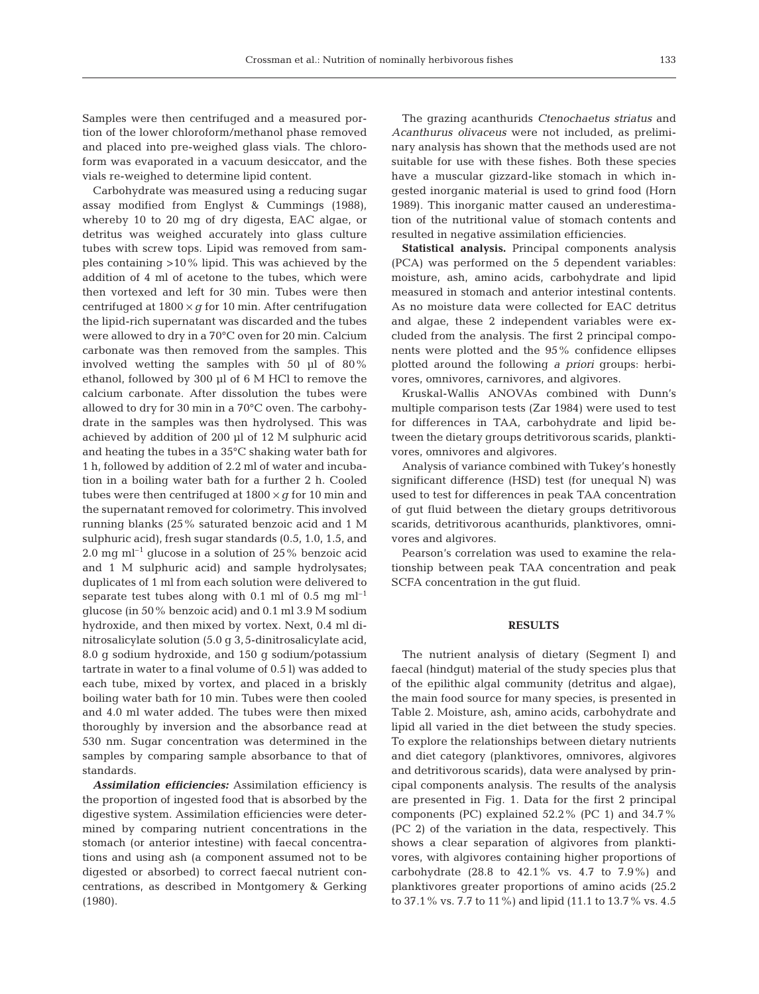Samples were then centrifuged and a measured portion of the lower chloroform/methanol phase removed and placed into pre-weighed glass vials. The chloroform was evaporated in a vacuum desiccator, and the vials re-weighed to determine lipid content.

Carbohydrate was measured using a reducing sugar assay modified from Englyst & Cummings (1988), whereby 10 to 20 mg of dry digesta, EAC algae, or detritus was weighed accurately into glass culture tubes with screw tops. Lipid was removed from samples containing >10% lipid. This was achieved by the addition of 4 ml of acetone to the tubes, which were then vortexed and left for 30 min. Tubes were then centrifuged at  $1800 \times g$  for 10 min. After centrifugation the lipid-rich supernatant was discarded and the tubes were allowed to dry in a 70°C oven for 20 min. Calcium carbonate was then removed from the samples. This involved wetting the samples with 50 µl of 80% ethanol, followed by 300 µl of 6 M HCl to remove the calcium carbonate. After dissolution the tubes were allowed to dry for 30 min in a 70°C oven. The carbohydrate in the samples was then hydrolysed. This was achieved by addition of 200 µl of 12 M sulphuric acid and heating the tubes in a 35°C shaking water bath for 1 h, followed by addition of 2.2 ml of water and incubation in a boiling water bath for a further 2 h. Cooled tubes were then centrifuged at  $1800 \times g$  for 10 min and the supernatant removed for colorimetry. This involved running blanks (25% saturated benzoic acid and 1 M sulphuric acid), fresh sugar standards (0.5, 1.0, 1.5, and 2.0 mg m $l^{-1}$  glucose in a solution of 25% benzoic acid and 1 M sulphuric acid) and sample hydrolysates; duplicates of 1 ml from each solution were delivered to separate test tubes along with 0.1 ml of 0.5 mg  $ml^{-1}$ glucose (in 50% benzoic acid) and 0.1 ml 3.9 M sodium hydroxide, and then mixed by vortex. Next, 0.4 ml dinitrosalicylate solution (5.0 g 3,5-dinitrosalicylate acid, 8.0 g sodium hydroxide, and 150 g sodium/potassium tartrate in water to a final volume of 0.5 l) was added to each tube, mixed by vortex, and placed in a briskly boiling water bath for 10 min. Tubes were then cooled and 4.0 ml water added. The tubes were then mixed thoroughly by inversion and the absorbance read at 530 nm. Sugar concentration was determined in the samples by comparing sample absorbance to that of standards.

*Assimilation efficiencies:* Assimilation efficiency is the proportion of ingested food that is absorbed by the digestive system. Assimilation efficiencies were determined by comparing nutrient concentrations in the stomach (or anterior intestine) with faecal concentrations and using ash (a component assumed not to be digested or absorbed) to correct faecal nutrient concentrations, as described in Montgomery & Gerking (1980).

The grazing acanthurids *Ctenochaetus striatus* and *Acanthurus olivaceus* were not included, as preliminary analysis has shown that the methods used are not suitable for use with these fishes. Both these species have a muscular gizzard-like stomach in which ingested inorganic material is used to grind food (Horn 1989). This inorganic matter caused an underestimation of the nutritional value of stomach contents and resulted in negative assimilation efficiencies.

**Statistical analysis.** Principal components analysis (PCA) was performed on the 5 dependent variables: moisture, ash, amino acids, carbohydrate and lipid measured in stomach and anterior intestinal contents. As no moisture data were collected for EAC detritus and algae, these 2 independent variables were excluded from the analysis. The first 2 principal components were plotted and the 95% confidence ellipses plotted around the following *a priori* groups: herbivores, omnivores, carnivores, and algivores.

Kruskal-Wallis ANOVAs combined with Dunn's multiple comparison tests (Zar 1984) were used to test for differences in TAA, carbohydrate and lipid between the dietary groups detritivorous scarids, planktivores, omnivores and algivores.

Analysis of variance combined with Tukey's honestly significant difference (HSD) test (for unequal N) was used to test for differences in peak TAA concentration of gut fluid between the dietary groups detritivorous scarids, detritivorous acanthurids, planktivores, omnivores and algivores.

Pearson's correlation was used to examine the relationship between peak TAA concentration and peak SCFA concentration in the gut fluid.

#### **RESULTS**

The nutrient analysis of dietary (Segment I) and faecal (hindgut) material of the study species plus that of the epilithic algal community (detritus and algae), the main food source for many species, is presented in Table 2. Moisture, ash, amino acids, carbohydrate and lipid all varied in the diet between the study species. To explore the relationships between dietary nutrients and diet category (planktivores, omnivores, algivores and detritivorous scarids), data were analysed by principal components analysis. The results of the analysis are presented in Fig. 1. Data for the first 2 principal components (PC) explained 52.2% (PC 1) and 34.7% (PC 2) of the variation in the data, respectively. This shows a clear separation of algivores from planktivores, with algivores containing higher proportions of carbohydrate  $(28.8 \text{ to } 42.1\% \text{ vs. } 4.7 \text{ to } 7.9\%)$  and planktivores greater proportions of amino acids (25.2 to 37.1% vs. 7.7 to 11%) and lipid (11.1 to 13.7% vs. 4.5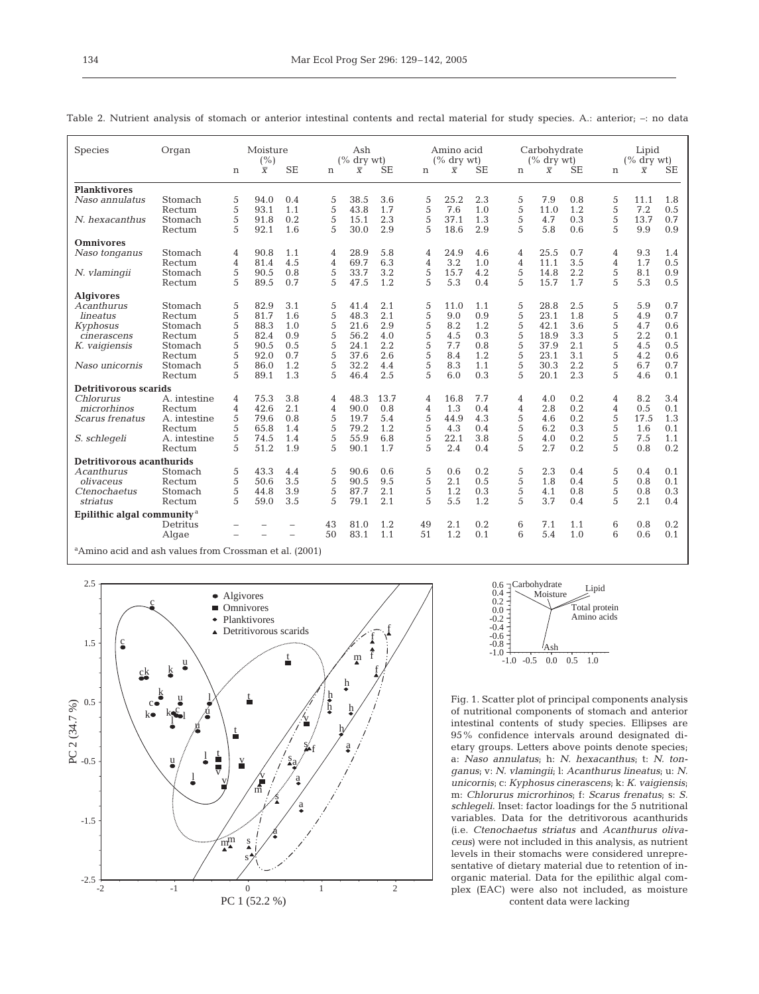| <b>Species</b>                         | Organ                                                                  | Moisture<br>(%)     |                |            |        | Ash<br>$(\%$ dry wt) |             |        | Amino acid<br>$(\%$ dry wt) |            |                     | Carbohydrate<br>$(\%$ dry wt) |            |                     | Lipid<br>$\frac{6}{6}$ dry wt |            |  |
|----------------------------------------|------------------------------------------------------------------------|---------------------|----------------|------------|--------|----------------------|-------------|--------|-----------------------------|------------|---------------------|-------------------------------|------------|---------------------|-------------------------------|------------|--|
|                                        |                                                                        | n                   | $\overline{X}$ | <b>SE</b>  | n      | $\overline{X}$       | <b>SE</b>   | n      | $\overline{X}$              | SЕ         | n                   | $\overline{X}$                | SE         | n                   | $\overline{X}$                | <b>SE</b>  |  |
| <b>Planktivores</b>                    |                                                                        |                     |                |            |        |                      |             |        |                             |            |                     |                               |            |                     |                               |            |  |
| Naso annulatus                         | Stomach                                                                | 5                   | 94.0           | 0.4        | 5      | 38.5                 | 3.6         | 5      | 25.2                        | 2.3        | 5                   | 7.9                           | 0.8        | 5                   | 11.1                          | 1.8        |  |
|                                        | Rectum                                                                 | 5                   | 93.1           | 1.1        | 5      | 43.8                 | 1.7         | 5      | 7.6                         | 1.0        | 5                   | 11.0                          | 1.2        | 5                   | 7.2                           | 0.5        |  |
| N. hexacanthus                         | Stomach                                                                | 5                   | 91.8           | 0.2        | 5      | 15.1                 | 2.3         | 5      | 37.1                        | 1.3        | 5                   | 4.7                           | 0.3        | 5                   | 13.7                          | 0.7        |  |
|                                        | Rectum                                                                 | 5                   | 92.1           | 1.6        | 5      | 30.0                 | 2.9         | 5      | 18.6                        | 2.9        | 5                   | 5.8                           | 0.6        | 5                   | 9.9                           | 0.9        |  |
| <b>Omnivores</b>                       |                                                                        |                     |                |            |        |                      |             |        |                             |            |                     |                               |            |                     |                               |            |  |
| Naso tonganus                          | Stomach                                                                | 4                   | 90.8           | 1.1        | 4      | 28.9                 | 5.8         | 4      | 24.9                        | 4.6        | 4                   | 25.5                          | 0.7        | 4                   | 9.3                           | 1.4        |  |
|                                        | Rectum                                                                 | 4                   | 81.4           | 4.5        | 4      | 69.7                 | 6.3         | 4      | 3.2                         | 1.0        | 4                   | 11.1                          | 3.5        | 4                   | 1.7                           | 0.5        |  |
| N. vlamingii                           | Stomach                                                                | 5                   | 90.5           | 0.8        | 5      | 33.7                 | 3.2         | 5      | 15.7                        | 4.2        | 5                   | 14.8                          | 2.2        | 5                   | 8.1                           | 0.9        |  |
|                                        | Rectum                                                                 | 5                   | 89.5           | 0.7        | 5      | 47.5                 | 1.2         | 5      | 5.3                         | 0.4        | 5                   | 15.7                          | 1.7        | 5                   | 5.3                           | 0.5        |  |
| <b>Algivores</b>                       |                                                                        |                     |                |            |        |                      |             |        |                             |            |                     |                               |            |                     |                               |            |  |
| Acanthurus                             | Stomach                                                                | 5                   | 82.9           | 3.1        | 5      | 41.4                 | 2.1         | 5      | 11.0                        | 1.1        | 5                   | 28.8                          | 2.5        | 5                   | 5.9                           | 0.7        |  |
| lineatus                               | Rectum                                                                 | 5                   | 81.7           | 1.6        | 5      | 48.3                 | 2.1         | 5      | 9.0                         | 0.9        | 5                   | 23.1                          | 1.8        | 5                   | 4.9                           | 0.7        |  |
| Kyphosus                               | Stomach                                                                | 5                   | 88.3           | 1.0        | 5      | 21.6                 | 2.9         | 5      | 8.2                         | 1.2        | 5                   | 42.1                          | 3.6        | 5                   | 4.7                           | 0.6        |  |
| cinerascens                            | Rectum                                                                 | 5                   | 82.4           | 0.9        | 5      | 56.2                 | 4.0         | 5      | 4.5                         | 0.3        | 5                   | 18.9                          | 3.3        | 5                   | 2.2                           | 0.1        |  |
| K. vaigiensis                          | Stomach                                                                | 5                   | 90.5           | 0.5        | 5      | 24.1                 | 2.2         | 5<br>5 | 7.7                         | 0.8        | 5                   | 37.9                          | 2.1        | 5                   | 4.5                           | 0.5        |  |
| Naso unicornis                         | Rectum<br>Stomach                                                      | 5<br>5              | 92.0<br>86.0   | 0.7<br>1.2 | 5<br>5 | 37.6<br>32.2         | 2.6<br>4.4  | 5      | 8.4<br>8.3                  | 1.2<br>1.1 | 5<br>5              | 23.1<br>30.3                  | 3.1<br>2.2 | 5<br>5              | 4.2<br>6.7                    | 0.6<br>0.7 |  |
|                                        | Rectum                                                                 | 5                   | 89.1           | 1.3        | 5      | 46.4                 | 2.5         | 5      | 6.0                         | 0.3        | 5                   | 20.1                          | 2.3        | 5                   | 4.6                           | 0.1        |  |
|                                        |                                                                        |                     |                |            |        |                      |             |        |                             |            |                     |                               |            |                     |                               |            |  |
| Detritivorous scarids                  |                                                                        |                     |                |            |        |                      |             |        |                             |            |                     |                               |            |                     |                               |            |  |
| Chlorurus<br>microrhinos               | A. intestine                                                           | 4                   | 75.3<br>42.6   | 3.8<br>2.1 | 4      | 48.3                 | 13.7<br>0.8 | 4      | 16.8<br>1.3                 | 7.7<br>0.4 | 4                   | 4.0<br>2.8                    | 0.2<br>0.2 | 4<br>$\overline{4}$ | 8.2                           | 3.4<br>0.1 |  |
| <i>Scarus frenatus</i>                 | Rectum<br>A. intestine                                                 | $\overline{4}$<br>5 | 79.6           | 0.8        | 4<br>5 | 90.0<br>19.7         | 5.4         | 4<br>5 | 44.9                        | 4.3        | $\overline{4}$<br>5 | 4.6                           | 0.2        | 5                   | 0.5<br>17.5                   | 1.3        |  |
|                                        | Rectum                                                                 | 5                   | 65.8           | 1.4        | 5      | 79.2                 | 1.2         | 5      | 4.3                         | 0.4        | 5                   | 6.2                           | 0.3        | 5                   | 1.6                           | 0.1        |  |
| S. schlegeli                           | A. intestine                                                           | 5                   | 74.5           | 1.4        | 5      | 55.9                 | 6.8         | 5      | 22.1                        | 3.8        | 5                   | 4.0                           | 0.2        | 5                   | 7.5                           | 1.1        |  |
|                                        | Rectum                                                                 | 5                   | 51.2           | 1.9        | 5      | 90.1                 | 1.7         | 5      | 2.4                         | 0.4        | 5                   | 2.7                           | 0.2        | 5                   | 0.8                           | 0.2        |  |
| Detritivorous acanthurids              |                                                                        |                     |                |            |        |                      |             |        |                             |            |                     |                               |            |                     |                               |            |  |
| Acanthurus                             | Stomach                                                                | 5                   | 43.3           | 4.4        | 5      | 90.6                 | 0.6         | 5      | 0.6                         | 0.2        | 5                   | 2.3                           | 0.4        | 5                   | 0.4                           | 0.1        |  |
| olivaceus                              | Rectum                                                                 | 5                   | 50.6           | 3.5        | 5      | 90.5                 | 9.5         | 5      | 2.1                         | 0.5        | 5                   | 1.8                           | 0.4        | 5                   | 0.8                           | 0.1        |  |
| Ctenochaetus                           | Stomach                                                                | 5                   | 44.8           | 3.9        | 5      | 87.7                 | 2.1         | 5      | 1.2                         | 0.3        | 5                   | 4.1                           | 0.8        | 5                   | 0.8                           | 0.3        |  |
| striatus                               | Rectum                                                                 | 5                   | 59.0           | 3.5        | 5      | 79.1                 | 2.1         | 5      | 5.5                         | 1.2        | 5                   | 3.7                           | 0.4        | 5                   | 2.1                           | 0.4        |  |
| Epilithic algal community <sup>a</sup> |                                                                        |                     |                |            |        |                      |             |        |                             |            |                     |                               |            |                     |                               |            |  |
|                                        | Detritus                                                               |                     |                |            | 43     | 81.0                 | 1.2         | 49     | 2.1                         | 0.2        | 6                   | 7.1                           | 1.1        | 6                   | 0.8                           | 0.2        |  |
|                                        | Algae                                                                  |                     |                |            | 50     | 83.1                 | 1.1         | 51     | 1.2                         | 0.1        | 6                   | 5.4                           | 1.0        | 6                   | 0.6                           | 0.1        |  |
|                                        | About the set of seal and continue from Common<br>(0.001)<br>$-1$ $-1$ |                     |                |            |        |                      |             |        |                             |            |                     |                               |            |                     |                               |            |  |

Table 2. Nutrient analysis of stomach or anterior intestinal contents and rectal material for study species. A.: anterior; –: no data

a Amino acid and ash values from Crossman et al. (2001)





Fig. 1. Scatter plot of principal components analysis of nutritional components of stomach and anterior intestinal contents of study species. Ellipses are 95% confidence intervals around designated dietary groups. Letters above points denote species; a: *Naso annulatus*; h: *N. hexacanthus*; t: *N. tonganus*; v: *N. vlamingii*; l: *Acanthurus lineatus*; u: *N. unicornis*; c: *Kyphosus cinerascens*; k: *K. vaigiensis*; m: *Chlorurus microrhinos*; f: *Scarus frenatus*; s: *S. schlegeli*. Inset: factor loadings for the 5 nutritional variables. Data for the detritivorous acanthurids (i.e. *Ctenochaetus striatus* and *Acanthurus olivaceus*) were not included in this analysis, as nutrient levels in their stomachs were considered unrepresentative of dietary material due to retention of inorganic material. Data for the epilithic algal complex (EAC) were also not included, as moisture content data were lacking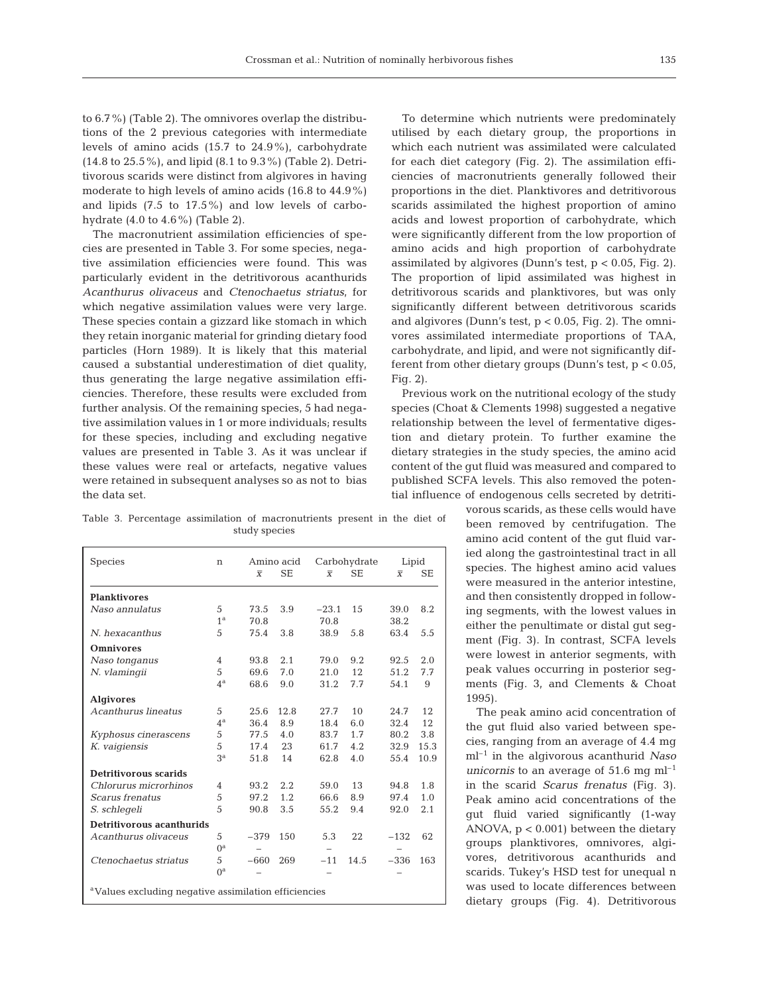to 6.7%) (Table 2). The omnivores overlap the distributions of the 2 previous categories with intermediate levels of amino acids (15.7 to 24.9%), carbohydrate (14.8 to 25.5%), and lipid (8.1 to 9.3%) (Table 2). Detritivorous scarids were distinct from algivores in having moderate to high levels of amino acids (16.8 to 44.9%) and lipids (7.5 to 17.5%) and low levels of carbohydrate (4.0 to 4.6%) (Table 2).

The macronutrient assimilation efficiencies of species are presented in Table 3. For some species, negative assimilation efficiencies were found. This was particularly evident in the detritivorous acanthurids *Acanthurus olivaceus* and *Ctenochaetus striatus*, for which negative assimilation values were very large. These species contain a gizzard like stomach in which they retain inorganic material for grinding dietary food particles (Horn 1989). It is likely that this material caused a substantial underestimation of diet quality, thus generating the large negative assimilation efficiencies. Therefore, these results were excluded from further analysis. Of the remaining species, 5 had negative assimilation values in 1 or more individuals; results for these species, including and excluding negative values are presented in Table 3. As it was unclear if these values were real or artefacts, negative values were retained in subsequent analyses so as not to bias the data set.

Table 3. Percentage assimilation of macronutrients present in the diet of study species

| <b>Species</b>                                                   | n              |                | Amino acid |                | Carbohydrate | Lipid          |           |  |  |  |
|------------------------------------------------------------------|----------------|----------------|------------|----------------|--------------|----------------|-----------|--|--|--|
|                                                                  |                | $\overline{X}$ | <b>SE</b>  | $\overline{X}$ | <b>SE</b>    | $\overline{X}$ | <b>SE</b> |  |  |  |
| <b>Planktivores</b>                                              |                |                |            |                |              |                |           |  |  |  |
| Naso annulatus                                                   | 5              | 73.5           | 3.9        | $-23.1$        | 15           | 39.0           | 8.2       |  |  |  |
|                                                                  | 1 <sup>a</sup> | 70.8           |            | 70.8           |              | 38.2           |           |  |  |  |
| N. hexacanthus                                                   | 5              | 75.4           | 3.8        | 38.9           | 5.8          | 63.4           | 5.5       |  |  |  |
| <b>Omnivores</b>                                                 |                |                |            |                |              |                |           |  |  |  |
| Naso tonganus                                                    | 4              | 93.8           | 2.1        | 79.0           | 9.2          | 92.5           | 2.0       |  |  |  |
| N. vlamingii                                                     | 5              | 69.6           | 7.0        | 21.0           | 12           | 51.2           | 7.7       |  |  |  |
|                                                                  | $4^{\rm a}$    | 68.6           | 9.0        | 31.2           | 7.7          | 54.1           | 9         |  |  |  |
| <b>Algivores</b>                                                 |                |                |            |                |              |                |           |  |  |  |
| Acanthurus lineatus                                              | 5              | 25.6           | 12.8       | 27.7           | 10           | 24.7           | 12        |  |  |  |
|                                                                  | $4^{\rm a}$    | 36.4           | 8.9        | 18.4           | 6.0          | 32.4           | 12        |  |  |  |
| Kyphosus cinerascens                                             | 5              | 77.5           | 4.0        | 83.7           | 1.7          | 80.2           | 3.8       |  |  |  |
| K. vaigiensis                                                    | 5              | 17.4           | 23         | 61.7           | 4.2          | 32.9           | 15.3      |  |  |  |
|                                                                  | 3 <sup>a</sup> | 51.8           | 14         | 62.8           | 4.0          | 55.4           | 10.9      |  |  |  |
| Detritivorous scarids                                            |                |                |            |                |              |                |           |  |  |  |
| Chlorurus microrhinos                                            | 4              | 93.2           | 2.2        | 59.0           | 13           | 94.8           | 1.8       |  |  |  |
| Scarus frenatus                                                  | 5              | 97.2           | 1.2        | 66.6           | 8.9          | 97.4           | 1.0       |  |  |  |
| S. schlegeli                                                     | 5              | 90.8           | 3.5        | 55.2           | 9.4          | 92.0           | 2.1       |  |  |  |
| Detritivorous acanthurids                                        |                |                |            |                |              |                |           |  |  |  |
| Acanthurus olivaceus                                             | 5              | $-379$         | 150        | 5.3            | 22           | $-132$         | 62        |  |  |  |
|                                                                  | $0^{\rm a}$    |                |            | -              |              |                |           |  |  |  |
| Ctenochaetus striatus                                            | 5              | $-660$         | 269        | $-11$          | 14.5         | $-336$         | 163       |  |  |  |
|                                                                  | $0^{\rm a}$    |                |            |                |              |                |           |  |  |  |
| <sup>a</sup> Values excluding negative assimilation efficiencies |                |                |            |                |              |                |           |  |  |  |

To determine which nutrients were predominately utilised by each dietary group, the proportions in which each nutrient was assimilated were calculated for each diet category (Fig. 2). The assimilation efficiencies of macronutrients generally followed their proportions in the diet. Planktivores and detritivorous scarids assimilated the highest proportion of amino acids and lowest proportion of carbohydrate, which were significantly different from the low proportion of amino acids and high proportion of carbohydrate assimilated by algivores (Dunn's test,  $p < 0.05$ , Fig. 2). The proportion of lipid assimilated was highest in detritivorous scarids and planktivores, but was only significantly different between detritivorous scarids and algivores (Dunn's test,  $p < 0.05$ , Fig. 2). The omnivores assimilated intermediate proportions of TAA, carbohydrate, and lipid, and were not significantly different from other dietary groups (Dunn's test, p < 0.05, Fig. 2).

Previous work on the nutritional ecology of the study species (Choat & Clements 1998) suggested a negative relationship between the level of fermentative digestion and dietary protein. To further examine the dietary strategies in the study species, the amino acid content of the gut fluid was measured and compared to published SCFA levels. This also removed the potential influence of endogenous cells secreted by detriti-

vorous scarids, as these cells would have been removed by centrifugation. The amino acid content of the gut fluid varied along the gastrointestinal tract in all species. The highest amino acid values were measured in the anterior intestine, and then consistently dropped in following segments, with the lowest values in either the penultimate or distal gut segment (Fig. 3). In contrast, SCFA levels were lowest in anterior segments, with peak values occurring in posterior segments (Fig. 3, and Clements & Choat 1995).

The peak amino acid concentration of the gut fluid also varied between species, ranging from an average of 4.4 mg ml–1 in the algivorous acanthurid *Naso unicornis* to an average of  $51.6$  mg  $ml^{-1}$ in the scarid *Scarus frenatus* (Fig. 3). Peak amino acid concentrations of the gut fluid varied significantly (1-way ANOVA, p < 0.001) between the dietary groups planktivores, omnivores, algivores, detritivorous acanthurids and scarids. Tukey's HSD test for unequal n was used to locate differences between dietary groups (Fig. 4). Detritivorous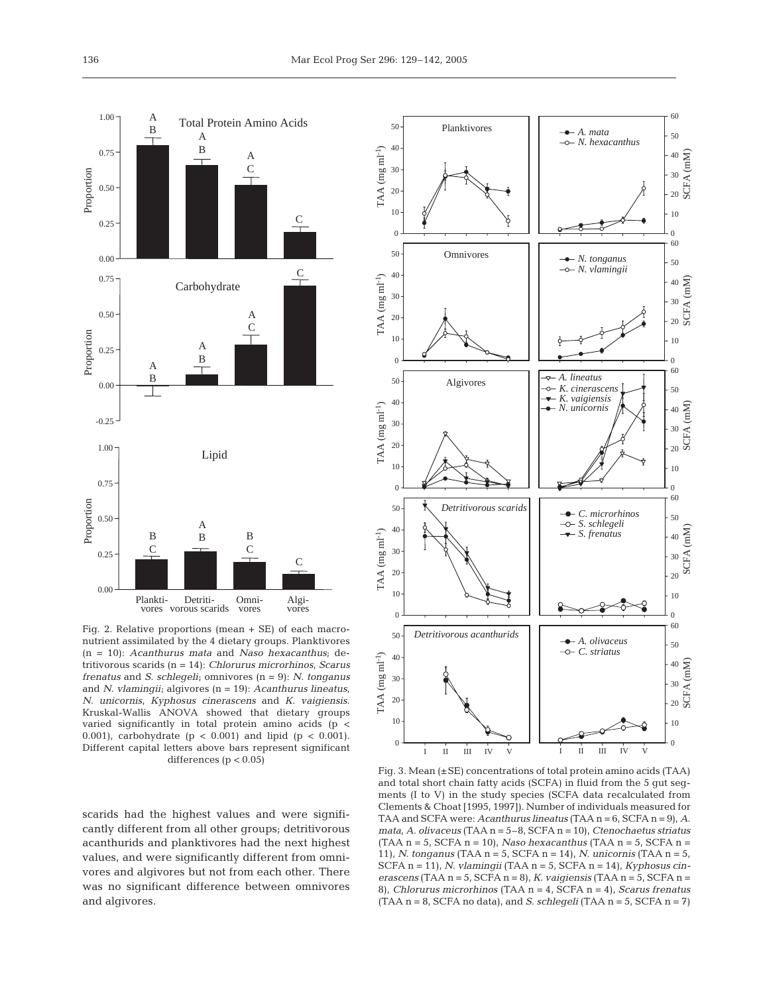

Fig. 2. Relative proportions (mean + SE) of each macronutrient assimilated by the 4 dietary groups. Planktivores (n = 10): *Acanthurus mata* and *Naso hexacanthus*; detritivorous scarids (n = 14): *Chlorurus microrhinos*, *Scarus frenatus* and *S. schlegeli*; omnivores (n = 9): *N. tonganus* and *N. vlamingii*; algivores (n = 19): *Acanthurus lineatus, N. unicornis, Kyphosus cinerascens* and *K. vaigiensis*. Kruskal-Wallis ANOVA showed that dietary groups varied significantly in total protein amino acids (p < 0.001), carbohydrate ( $p < 0.001$ ) and lipid ( $p < 0.001$ ). Different capital letters above bars represent significant differences (p < 0.05)

scarids had the highest values and were significantly different from all other groups; detritivorous acanthurids and planktivores had the next highest values, and were significantly different from omnivores and algivores but not from each other. There was no significant difference between omnivores and algivores.



Fig. 3. Mean (±SE) concentrations of total protein amino acids (TAA) and total short chain fatty acids (SCFA) in fluid from the 5 gut segments (I to V) in the study species (SCFA data recalculated from Clements & Choat [1995, 1997]). Number of individuals measured for TAA and SCFA were: *Acanthurus lineatus* (TAA n = 6, SCFA n = 9), *A. mata, A. olivaceus* (TAA n = 5–8, SCFA n = 10), *Ctenochaetus striatus* (TAA n = 5, SCFA n = 10), *Naso hexacanthus* (TAA n = 5, SCFA n = 11), *N. tonganus* (TAA n = 5, SCFA n = 14), *N. unicornis* (TAA n = 5, SCFA n = 11), *N. vlamingii* (TAA n = 5, SCFA n = 14), *Kyphosus cinerascens* (TAA n = 5, SCFA n = 8), *K. vaigiensis* (TAA n = 5, SCFA n = 8), *Chlorurus microrhinos* (TAA n = 4, SCFA n = 4), *Scarus frenatus* (TAA n = 8, SCFA no data), and *S. schlegeli* (TAA n = 5, SCFA n = 7)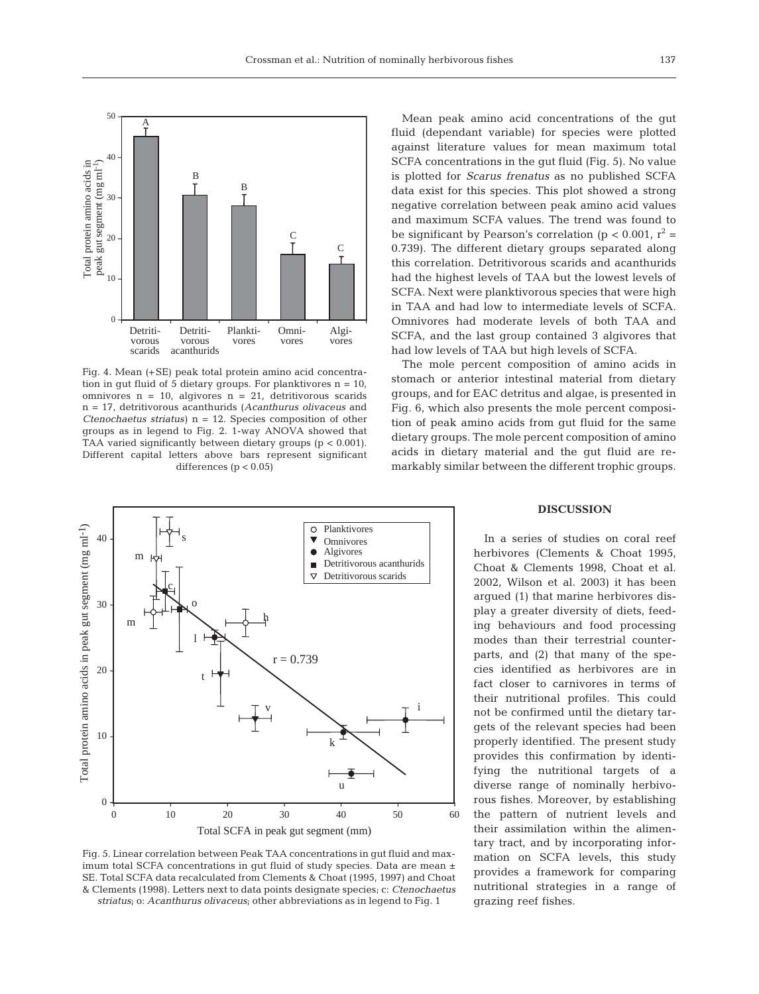

Fig. 4. Mean (+SE) peak total protein amino acid concentration in gut fluid of 5 dietary groups. For planktivores  $n = 10$ , omnivores  $n = 10$ , algivores  $n = 21$ , detritivorous scarids n = 17, detritivorous acanthurids (*Acanthurus olivaceus* and *Ctenochaetus striatus*) n = 12. Species composition of other groups as in legend to Fig. 2. 1-way ANOVA showed that TAA varied significantly between dietary groups (p < 0.001). Different capital letters above bars represent significant differences ( $p < 0.05$ )



Fig. 5. Linear correlation between Peak TAA concentrations in gut fluid and maximum total SCFA concentrations in gut fluid of study species. Data are mean  $\pm$ SE. Total SCFA data recalculated from Clements & Choat (1995, 1997) and Choat & Clements (1998). Letters next to data points designate species; c: *Ctenochaetus striatus*; o: *Acanthurus olivaceus*; other abbreviations as in legend to Fig. 1

Mean peak amino acid concentrations of the gut fluid (dependant variable) for species were plotted against literature values for mean maximum total SCFA concentrations in the gut fluid (Fig. 5). No value is plotted for *Scarus frenatus* as no published SCFA data exist for this species. This plot showed a strong negative correlation between peak amino acid values and maximum SCFA values. The trend was found to be significant by Pearson's correlation ( $p < 0.001$ ,  $r^2 =$ 0.739). The different dietary groups separated along this correlation. Detritivorous scarids and acanthurids had the highest levels of TAA but the lowest levels of SCFA. Next were planktivorous species that were high in TAA and had low to intermediate levels of SCFA. Omnivores had moderate levels of both TAA and SCFA, and the last group contained 3 algivores that had low levels of TAA but high levels of SCFA.

The mole percent composition of amino acids in stomach or anterior intestinal material from dietary groups, and for EAC detritus and algae, is presented in Fig. 6, which also presents the mole percent composition of peak amino acids from gut fluid for the same dietary groups. The mole percent composition of amino acids in dietary material and the gut fluid are remarkably similar between the different trophic groups.

### **DISCUSSION**

In a series of studies on coral reef herbivores (Clements & Choat 1995, Choat & Clements 1998, Choat et al. 2002, Wilson et al. 2003) it has been argued (1) that marine herbivores display a greater diversity of diets, feeding behaviours and food processing modes than their terrestrial counterparts, and (2) that many of the species identified as herbivores are in fact closer to carnivores in terms of their nutritional profiles. This could not be confirmed until the dietary targets of the relevant species had been properly identified. The present study provides this confirmation by identifying the nutritional targets of a diverse range of nominally herbivorous fishes. Moreover, by establishing the pattern of nutrient levels and their assimilation within the alimentary tract, and by incorporating information on SCFA levels, this study provides a framework for comparing nutritional strategies in a range of grazing reef fishes.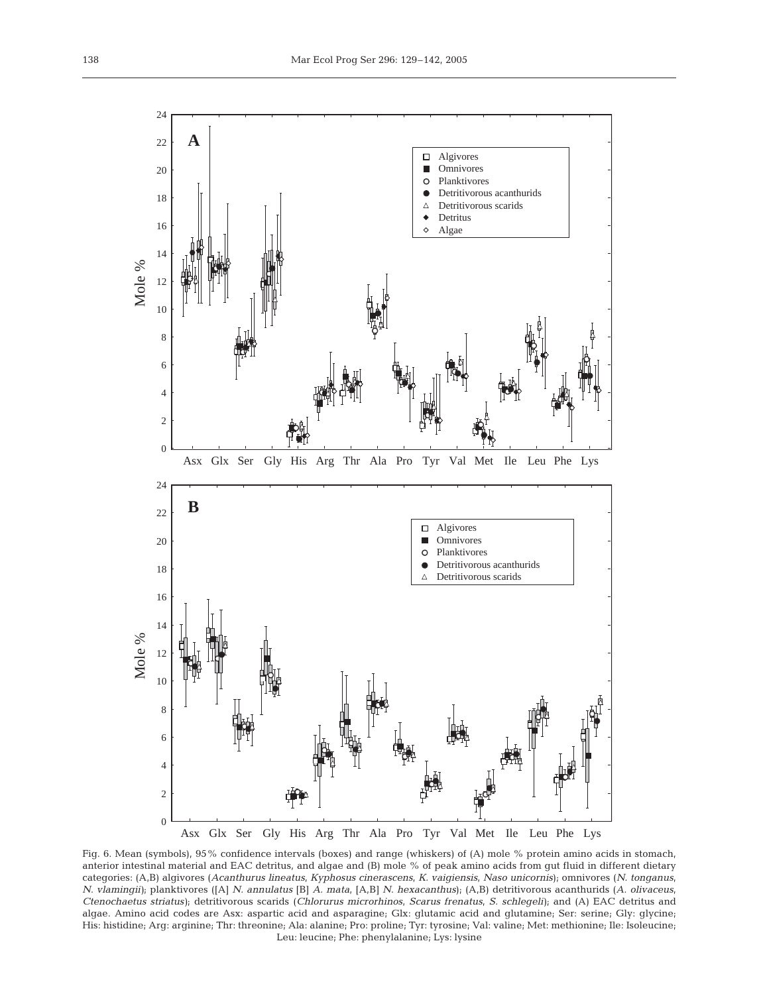

Fig. 6. Mean (symbols), 95% confidence intervals (boxes) and range (whiskers) of (A) mole % protein amino acids in stomach, anterior intestinal material and EAC detritus, and algae and (B) mole % of peak amino acids from gut fluid in different dietary categories: (A,B) algivores (*Acanthurus lineatus*, *Kyphosus cinerascens*, *K. vaigiensis*, *Naso unicornis*); omnivores (*N. tonganus*, *N. vlamingii)*; planktivores ([A] *N. annulatus* [B] *A. mata*, [A,B] *N. hexacanthus*); (A,B) detritivorous acanthurids (*A. olivaceus*, *Ctenochaetus striatus)*; detritivorous scarids (*Chlorurus microrhinos*, *Scarus frenatus*, *S. schlegeli)*; and (A) EAC detritus and algae. Amino acid codes are Asx: aspartic acid and asparagine; Glx: glutamic acid and glutamine; Ser: serine; Gly: glycine; His: histidine; Arg: arginine; Thr: threonine; Ala: alanine; Pro: proline; Tyr: tyrosine; Val: valine; Met: methionine; Ile: Isoleucine; Leu: leucine; Phe: phenylalanine; Lys: lysine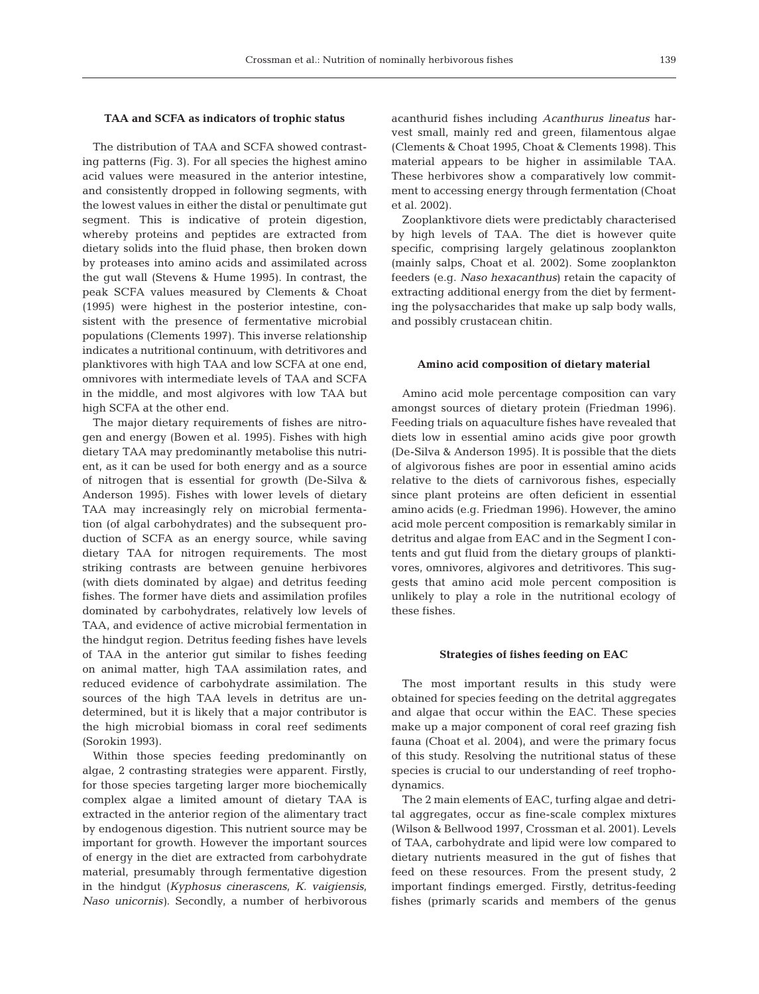## **TAA and SCFA as indicators of trophic status**

The distribution of TAA and SCFA showed contrasting patterns (Fig. 3). For all species the highest amino acid values were measured in the anterior intestine, and consistently dropped in following segments, with the lowest values in either the distal or penultimate gut segment. This is indicative of protein digestion, whereby proteins and peptides are extracted from dietary solids into the fluid phase, then broken down by proteases into amino acids and assimilated across the gut wall (Stevens & Hume 1995). In contrast, the peak SCFA values measured by Clements & Choat (1995) were highest in the posterior intestine, consistent with the presence of fermentative microbial populations (Clements 1997). This inverse relationship indicates a nutritional continuum, with detritivores and planktivores with high TAA and low SCFA at one end, omnivores with intermediate levels of TAA and SCFA in the middle, and most algivores with low TAA but high SCFA at the other end.

The major dietary requirements of fishes are nitrogen and energy (Bowen et al. 1995). Fishes with high dietary TAA may predominantly metabolise this nutrient, as it can be used for both energy and as a source of nitrogen that is essential for growth (De-Silva & Anderson 1995). Fishes with lower levels of dietary TAA may increasingly rely on microbial fermentation (of algal carbohydrates) and the subsequent production of SCFA as an energy source, while saving dietary TAA for nitrogen requirements. The most striking contrasts are between genuine herbivores (with diets dominated by algae) and detritus feeding fishes. The former have diets and assimilation profiles dominated by carbohydrates, relatively low levels of TAA, and evidence of active microbial fermentation in the hindgut region. Detritus feeding fishes have levels of TAA in the anterior gut similar to fishes feeding on animal matter, high TAA assimilation rates, and reduced evidence of carbohydrate assimilation. The sources of the high TAA levels in detritus are undetermined, but it is likely that a major contributor is the high microbial biomass in coral reef sediments (Sorokin 1993).

Within those species feeding predominantly on algae, 2 contrasting strategies were apparent. Firstly, for those species targeting larger more biochemically complex algae a limited amount of dietary TAA is extracted in the anterior region of the alimentary tract by endogenous digestion. This nutrient source may be important for growth. However the important sources of energy in the diet are extracted from carbohydrate material, presumably through fermentative digestion in the hindgut (*Kyphosus cinerascens, K. vaigiensis, Naso unicornis)*. Secondly, a number of herbivorous

acanthurid fishes including *Acanthurus lineatus* harvest small, mainly red and green, filamentous algae (Clements & Choat 1995, Choat & Clements 1998). This material appears to be higher in assimilable TAA. These herbivores show a comparatively low commitment to accessing energy through fermentation (Choat et al. 2002).

Zooplanktivore diets were predictably characterised by high levels of TAA. The diet is however quite specific, comprising largely gelatinous zooplankton (mainly salps, Choat et al. 2002). Some zooplankton feeders (e.g. *Naso hexacanthus*) retain the capacity of extracting additional energy from the diet by fermenting the polysaccharides that make up salp body walls, and possibly crustacean chitin.

#### **Amino acid composition of dietary material**

Amino acid mole percentage composition can vary amongst sources of dietary protein (Friedman 1996). Feeding trials on aquaculture fishes have revealed that diets low in essential amino acids give poor growth (De-Silva & Anderson 1995). It is possible that the diets of algivorous fishes are poor in essential amino acids relative to the diets of carnivorous fishes, especially since plant proteins are often deficient in essential amino acids (e.g. Friedman 1996). However, the amino acid mole percent composition is remarkably similar in detritus and algae from EAC and in the Segment I contents and gut fluid from the dietary groups of planktivores, omnivores, algivores and detritivores. This suggests that amino acid mole percent composition is unlikely to play a role in the nutritional ecology of these fishes.

#### **Strategies of fishes feeding on EAC**

The most important results in this study were obtained for species feeding on the detrital aggregates and algae that occur within the EAC. These species make up a major component of coral reef grazing fish fauna (Choat et al. 2004), and were the primary focus of this study. Resolving the nutritional status of these species is crucial to our understanding of reef trophodynamics.

The 2 main elements of EAC, turfing algae and detrital aggregates, occur as fine-scale complex mixtures (Wilson & Bellwood 1997, Crossman et al. 2001). Levels of TAA, carbohydrate and lipid were low compared to dietary nutrients measured in the gut of fishes that feed on these resources. From the present study, 2 important findings emerged. Firstly, detritus-feeding fishes (primarly scarids and members of the genus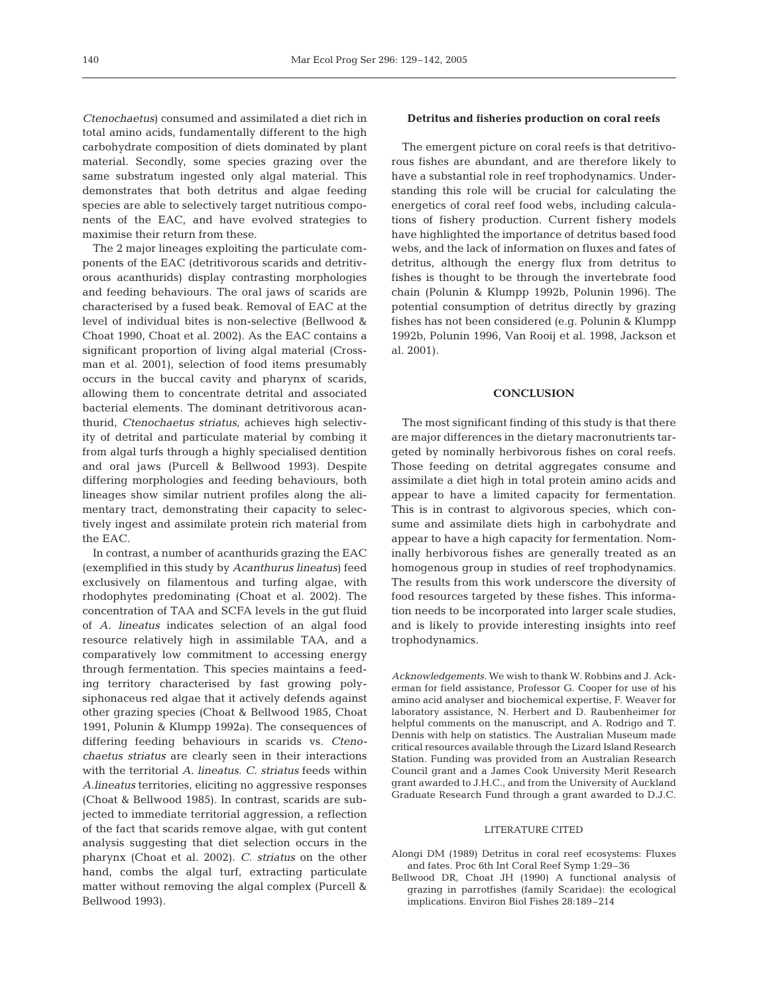*Ctenochaetus*) consumed and assimilated a diet rich in total amino acids, fundamentally different to the high carbohydrate composition of diets dominated by plant material. Secondly, some species grazing over the same substratum ingested only algal material. This demonstrates that both detritus and algae feeding species are able to selectively target nutritious components of the EAC, and have evolved strategies to maximise their return from these.

The 2 major lineages exploiting the particulate components of the EAC (detritivorous scarids and detritivorous acanthurids) display contrasting morphologies and feeding behaviours. The oral jaws of scarids are characterised by a fused beak. Removal of EAC at the level of individual bites is non-selective (Bellwood & Choat 1990, Choat et al. 2002). As the EAC contains a significant proportion of living algal material (Crossman et al. 2001), selection of food items presumably occurs in the buccal cavity and pharynx of scarids, allowing them to concentrate detrital and associated bacterial elements. The dominant detritivorous acanthurid, *Ctenochaetus striatus*, achieves high selectivity of detrital and particulate material by combing it from algal turfs through a highly specialised dentition and oral jaws (Purcell & Bellwood 1993). Despite differing morphologies and feeding behaviours, both lineages show similar nutrient profiles along the alimentary tract, demonstrating their capacity to selectively ingest and assimilate protein rich material from the EAC.

In contrast, a number of acanthurids grazing the EAC (exemplified in this study by *Acanthurus lineatus*) feed exclusively on filamentous and turfing algae, with rhodophytes predominating (Choat et al. 2002). The concentration of TAA and SCFA levels in the gut fluid of *A. lineatus* indicates selection of an algal food resource relatively high in assimilable TAA, and a comparatively low commitment to accessing energy through fermentation. This species maintains a feeding territory characterised by fast growing polysiphonaceus red algae that it actively defends against other grazing species (Choat & Bellwood 1985, Choat 1991, Polunin & Klumpp 1992a). The consequences of differing feeding behaviours in scarids vs. *Ctenochaetus striatus* are clearly seen in their interactions with the territorial *A. lineatus*. *C. striatus* feeds within *A.lineatus* territories, eliciting no aggressive responses (Choat & Bellwood 1985). In contrast, scarids are subjected to immediate territorial aggression, a reflection of the fact that scarids remove algae, with gut content analysis suggesting that diet selection occurs in the pharynx (Choat et al. 2002). *C. striatus* on the other hand, combs the algal turf, extracting particulate matter without removing the algal complex (Purcell & Bellwood 1993).

## **Detritus and fisheries production on coral reefs**

The emergent picture on coral reefs is that detritivorous fishes are abundant, and are therefore likely to have a substantial role in reef trophodynamics. Understanding this role will be crucial for calculating the energetics of coral reef food webs, including calculations of fishery production. Current fishery models have highlighted the importance of detritus based food webs, and the lack of information on fluxes and fates of detritus, although the energy flux from detritus to fishes is thought to be through the invertebrate food chain (Polunin & Klumpp 1992b, Polunin 1996). The potential consumption of detritus directly by grazing fishes has not been considered (e.g. Polunin & Klumpp 1992b, Polunin 1996, Van Rooij et al. 1998, Jackson et al. 2001).

## **CONCLUSION**

The most significant finding of this study is that there are major differences in the dietary macronutrients targeted by nominally herbivorous fishes on coral reefs. Those feeding on detrital aggregates consume and assimilate a diet high in total protein amino acids and appear to have a limited capacity for fermentation. This is in contrast to algivorous species, which consume and assimilate diets high in carbohydrate and appear to have a high capacity for fermentation. Nominally herbivorous fishes are generally treated as an homogenous group in studies of reef trophodynamics. The results from this work underscore the diversity of food resources targeted by these fishes. This information needs to be incorporated into larger scale studies, and is likely to provide interesting insights into reef trophodynamics.

*Acknowledgements.* We wish to thank W. Robbins and J. Ackerman for field assistance, Professor G. Cooper for use of his amino acid analyser and biochemical expertise, F. Weaver for laboratory assistance, N. Herbert and D. Raubenheimer for helpful comments on the manuscript, and A. Rodrigo and T. Dennis with help on statistics. The Australian Museum made critical resources available through the Lizard Island Research Station. Funding was provided from an Australian Research Council grant and a James Cook University Merit Research grant awarded to J.H.C., and from the University of Auckland Graduate Research Fund through a grant awarded to D.J.C.

## LITERATURE CITED

- Alongi DM (1989) Detritus in coral reef ecosystems: Fluxes and fates. Proc 6th Int Coral Reef Symp 1:29–36
- Bellwood DR, Choat JH (1990) A functional analysis of grazing in parrotfishes (family Scaridae): the ecological implications. Environ Biol Fishes 28:189–214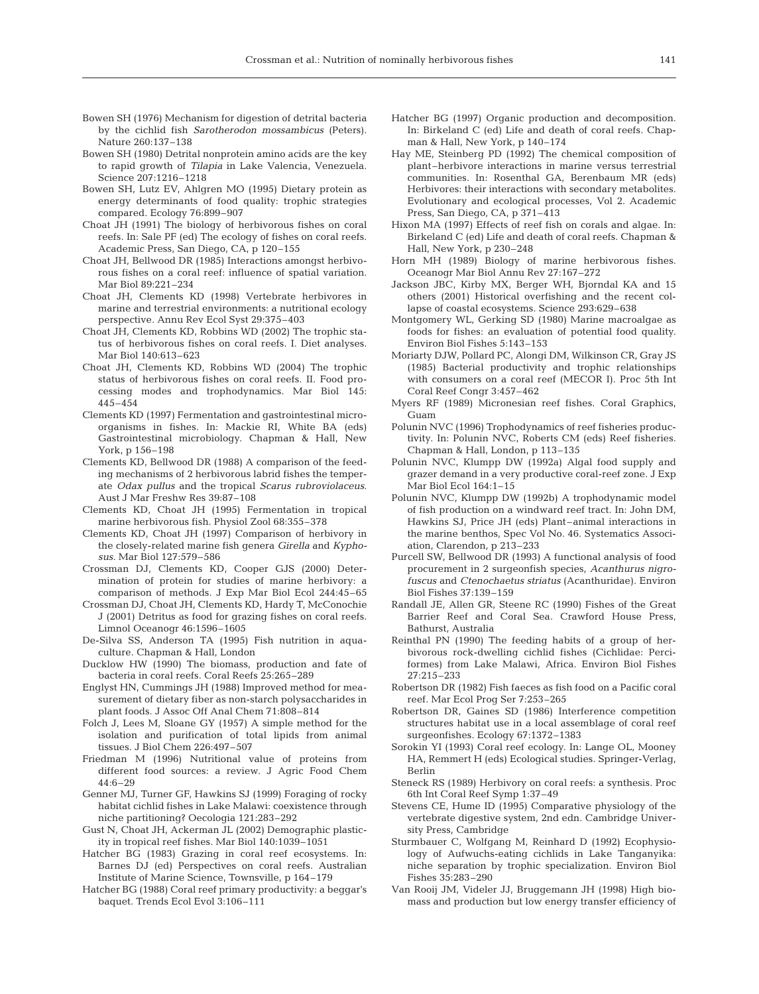- Bowen SH (1976) Mechanism for digestion of detrital bacteria by the cichlid fish *Sarotherodon mossambicus* (Peters). Nature 260:137–138
- Bowen SH (1980) Detrital nonprotein amino acids are the key to rapid growth of *Tilapia* in Lake Valencia, Venezuela. Science 207:1216–1218
- Bowen SH, Lutz EV, Ahlgren MO (1995) Dietary protein as energy determinants of food quality: trophic strategies compared. Ecology 76:899–907
- Choat JH (1991) The biology of herbivorous fishes on coral reefs. In: Sale PF (ed) The ecology of fishes on coral reefs. Academic Press, San Diego, CA, p 120–155
- Choat JH, Bellwood DR (1985) Interactions amongst herbivorous fishes on a coral reef: influence of spatial variation. Mar Biol 89:221–234
- Choat JH, Clements KD (1998) Vertebrate herbivores in marine and terrestrial environments: a nutritional ecology perspective. Annu Rev Ecol Syst 29:375–403
- Choat JH, Clements KD, Robbins WD (2002) The trophic status of herbivorous fishes on coral reefs. I. Diet analyses. Mar Biol 140:613–623
- Choat JH, Clements KD, Robbins WD (2004) The trophic status of herbivorous fishes on coral reefs. II. Food processing modes and trophodynamics. Mar Biol 145: 445–454
- Clements KD (1997) Fermentation and gastrointestinal microorganisms in fishes. In: Mackie RI, White BA (eds) Gastrointestinal microbiology. Chapman & Hall, New York, p 156–198
- Clements KD, Bellwood DR (1988) A comparison of the feeding mechanisms of 2 herbivorous labrid fishes the temperate *Odax pullus* and the tropical *Scarus rubroviolaceus*. Aust J Mar Freshw Res 39:87–108
- Clements KD, Choat JH (1995) Fermentation in tropical marine herbivorous fish. Physiol Zool 68:355–378
- Clements KD, Choat JH (1997) Comparison of herbivory in the closely-related marine fish genera *Girella* and *Kyphosus*. Mar Biol 127:579–586
- Crossman DJ, Clements KD, Cooper GJS (2000) Determination of protein for studies of marine herbivory: a comparison of methods. J Exp Mar Biol Ecol 244:45–65
- Crossman DJ, Choat JH, Clements KD, Hardy T, McConochie J (2001) Detritus as food for grazing fishes on coral reefs. Limnol Oceanogr 46:1596–1605
- De-Silva SS, Anderson TA (1995) Fish nutrition in aquaculture. Chapman & Hall, London
- Ducklow HW (1990) The biomass, production and fate of bacteria in coral reefs. Coral Reefs 25:265–289
- Englyst HN, Cummings JH (1988) Improved method for measurement of dietary fiber as non-starch polysaccharides in plant foods. J Assoc Off Anal Chem 71:808–814
- Folch J, Lees M, Sloane GY (1957) A simple method for the isolation and purification of total lipids from animal tissues. J Biol Chem 226:497–507
- Friedman M (1996) Nutritional value of proteins from different food sources: a review. J Agric Food Chem  $44.6 - 29$
- Genner MJ, Turner GF, Hawkins SJ (1999) Foraging of rocky habitat cichlid fishes in Lake Malawi: coexistence through niche partitioning? Oecologia 121:283–292
- Gust N, Choat JH, Ackerman JL (2002) Demographic plasticity in tropical reef fishes. Mar Biol 140:1039–1051
- Hatcher BG (1983) Grazing in coral reef ecosystems. In: Barnes DJ (ed) Perspectives on coral reefs. Australian Institute of Marine Science, Townsville, p 164–179
- Hatcher BG (1988) Coral reef primary productivity: a beggar's baquet. Trends Ecol Evol 3:106–111
- Hatcher BG (1997) Organic production and decomposition. In: Birkeland C (ed) Life and death of coral reefs. Chapman & Hall, New York, p 140–174
- Hay ME, Steinberg PD (1992) The chemical composition of plant–herbivore interactions in marine versus terrestrial communities. In: Rosenthal GA, Berenbaum MR (eds) Herbivores: their interactions with secondary metabolites. Evolutionary and ecological processes, Vol 2. Academic Press, San Diego, CA, p 371–413
- Hixon MA (1997) Effects of reef fish on corals and algae. In: Birkeland C (ed) Life and death of coral reefs. Chapman & Hall, New York, p 230–248
- Horn MH (1989) Biology of marine herbivorous fishes. Oceanogr Mar Biol Annu Rev 27:167–272
- Jackson JBC, Kirby MX, Berger WH, Bjorndal KA and 15 others (2001) Historical overfishing and the recent collapse of coastal ecosystems. Science 293:629–638
- Montgomery WL, Gerking SD (1980) Marine macroalgae as foods for fishes: an evaluation of potential food quality. Environ Biol Fishes 5:143–153
- Moriarty DJW, Pollard PC, Alongi DM, Wilkinson CR, Gray JS (1985) Bacterial productivity and trophic relationships with consumers on a coral reef (MECOR I). Proc 5th Int Coral Reef Congr 3:457–462
- Myers RF (1989) Micronesian reef fishes. Coral Graphics, Guam
- Polunin NVC (1996) Trophodynamics of reef fisheries productivity. In: Polunin NVC, Roberts CM (eds) Reef fisheries. Chapman & Hall, London, p 113–135
- Polunin NVC, Klumpp DW (1992a) Algal food supply and grazer demand in a very productive coral-reef zone. J Exp Mar Biol Ecol 164:1–15
- Polunin NVC, Klumpp DW (1992b) A trophodynamic model of fish production on a windward reef tract. In: John DM, Hawkins SJ, Price JH (eds) Plant–animal interactions in the marine benthos, Spec Vol No. 46. Systematics Association, Clarendon, p 213–233
- Purcell SW, Bellwood DR (1993) A functional analysis of food procurement in 2 surgeonfish species, *Acanthurus nigrofuscus* and *Ctenochaetus striatus* (Acanthuridae). Environ Biol Fishes 37:139–159
- Randall JE, Allen GR, Steene RC (1990) Fishes of the Great Barrier Reef and Coral Sea. Crawford House Press, Bathurst, Australia
- Reinthal PN (1990) The feeding habits of a group of herbivorous rock-dwelling cichlid fishes (Cichlidae: Perciformes) from Lake Malawi, Africa. Environ Biol Fishes 27:215–233
- Robertson DR (1982) Fish faeces as fish food on a Pacific coral reef. Mar Ecol Prog Ser 7:253–265
- Robertson DR, Gaines SD (1986) Interference competition structures habitat use in a local assemblage of coral reef surgeonfishes. Ecology 67:1372–1383
- Sorokin YI (1993) Coral reef ecology. In: Lange OL, Mooney HA, Remmert H (eds) Ecological studies. Springer-Verlag, Berlin
- Steneck RS (1989) Herbivory on coral reefs: a synthesis. Proc 6th Int Coral Reef Symp 1:37–49
- Stevens CE, Hume ID (1995) Comparative physiology of the vertebrate digestive system, 2nd edn. Cambridge University Press, Cambridge
- Sturmbauer C, Wolfgang M, Reinhard D (1992) Ecophysiology of Aufwuchs-eating cichlids in Lake Tanganyika: niche separation by trophic specialization. Environ Biol Fishes 35:283–290
- Van Rooij JM, Videler JJ, Bruggemann JH (1998) High biomass and production but low energy transfer efficiency of